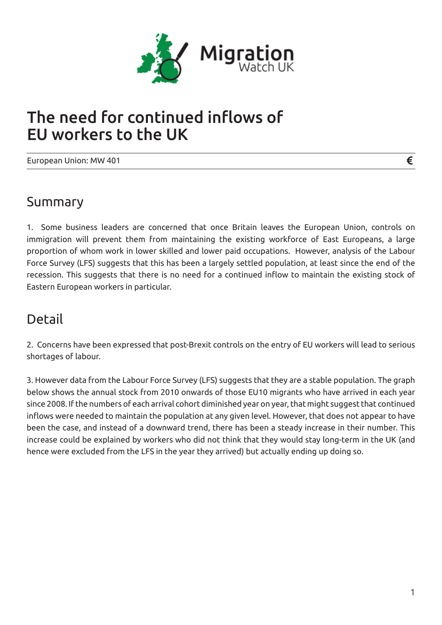

# The need for continued inflows of EU workers to the UK

European Union: MW 401

#### Summary

1. Some business leaders are concerned that once Britain leaves the European Union, controls on immigration will prevent them from maintaining the existing workforce of East Europeans, a large proportion of whom work in lower skilled and lower paid occupations. However, analysis of the Labour Force Survey (LFS) suggests that this has been a largely settled population, at least since the end of the recession. This suggests that there is no need for a continued inflow to maintain the existing stock of Eastern European workers in particular.

### Detail

2. Concerns have been expressed that post-Brexit controls on the entry of EU workers will lead to serious shortages of labour.

3. However data from the Labour Force Survey (LFS) suggests that they are a stable population. The graph below shows the annual stock from 2010 onwards of those EU10 migrants who have arrived in each year since 2008. If the numbers of each arrival cohort diminished year on year, that might suggest that continued inflows were needed to maintain the population at any given level. However, that does not appear to have been the case, and instead of a downward trend, there has been a steady increase in their number. This increase could be explained by workers who did not think that they would stay long-term in the UK (and hence were excluded from the LFS in the year they arrived) but actually ending up doing so.

€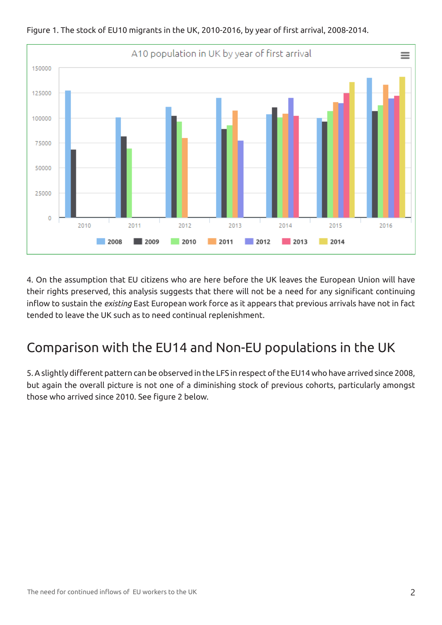

Figure 1. The stock of EU10 migrants in the UK, 2010-2016, by year of first arrival, 2008-2014.

4. On the assumption that EU citizens who are here before the UK leaves the European Union will have their rights preserved, this analysis suggests that there will not be a need for any significant continuing inflow to sustain the *existing* East European work force as it appears that previous arrivals have not in fact tended to leave the UK such as to need continual replenishment.

## Comparison with the EU14 and Non-EU populations in the UK

5. A slightly different pattern can be observed in the LFS in respect of the EU14 who have arrived since 2008, but again the overall picture is not one of a diminishing stock of previous cohorts, particularly amongst those who arrived since 2010. See figure 2 below.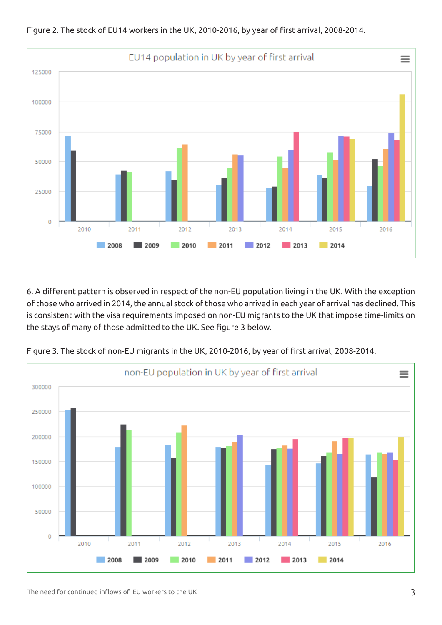

Figure 2. The stock of EU14 workers in the UK, 2010-2016, by year of first arrival, 2008-2014.

6. A different pattern is observed in respect of the non-EU population living in the UK. With the exception of those who arrived in 2014, the annual stock of those who arrived in each year of arrival has declined. This is consistent with the visa requirements imposed on non-EU migrants to the UK that impose time-limits on the stays of many of those admitted to the UK. See figure 3 below.



Figure 3. The stock of non-EU migrants in the UK, 2010-2016, by year of first arrival, 2008-2014.